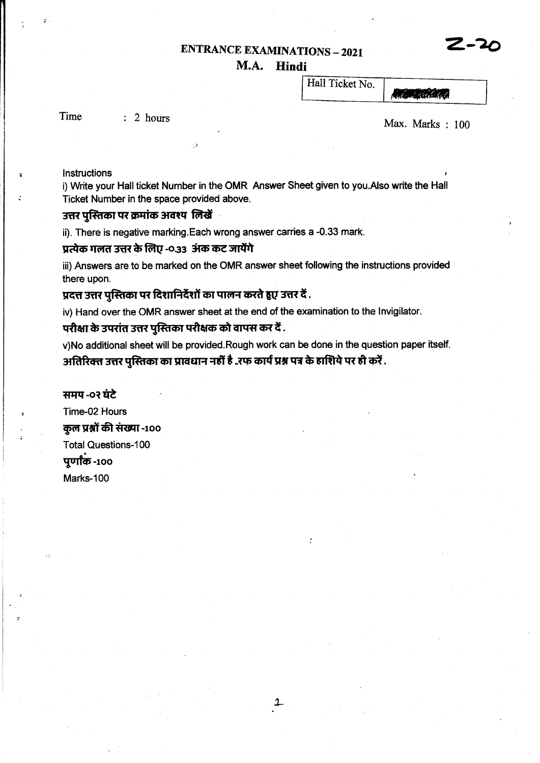# **ENTRANCE EXAMINATIONS - 2021**

## M.A. Hindi

Hall Ticket No.

Time

 $: 2 \text{ hours}$ 

Max. Marks:  $100$ 

**Miller California** 

Instructions

i) Write your Hall ticket Number in the OMR Answer Sheet given to you.Also write the Hall Ticket Number in the space provided above.

#### उत्तर पस्तिका पर क्रमांक अवश्य लिखें

ii). There is negative marking. Each wrong answer carries a -0.33 mark.

#### प्रत्येक गलत उत्तर के लिए -0.33 अंक कट जायेंगे

iii) Answers are to be marked on the OMR answer sheet following the instructions provided there upon.

## प्रदत्त उत्तर पुस्तिका पर दिशानिर्देशों का पालन करते हुए उत्तर दें .

iv) Hand over the OMR answer sheet at the end of the examination to the Invigilator.

## परीक्षा के उपरांत उत्तर पुस्तिका परीक्षक को वापस कर दें .

v)No additional sheet will be provided.Rough work can be done in the question paper itself. अतिरिक्त उत्तर पुस्तिका का प्रावधान नहीं है ..रफ कार्य प्रश्न पत्र के हाशिये पर ही करें .

#### समय -०२ घंटे

Time-02 Hours कुल प्रश्नों की संख्या -100 **Total Questions-100** पूर्णांक -100 Marks-100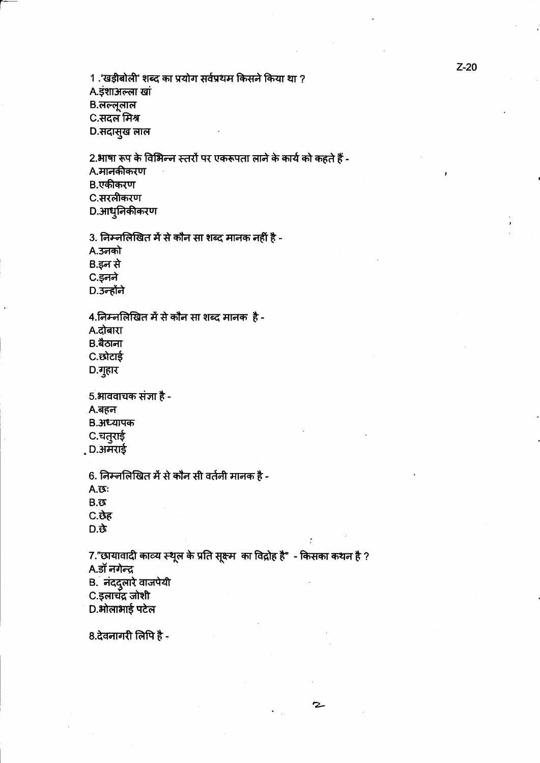1 .'खड़ीबोली' शब्द का प्रयोग सर्वप्रथम किसने किया था ?

A.इंशाअल्ला खां

B.लल्लूलाल

C.सदल मिश्र

D.सदासुख लाल

2.भाषा रूप के विभिन्न स्तरों पर एकरूपता लाने के कार्य को कहते हैं -

A.मानकीकरण

B.एकीकरण

C.सरलीकरण

D.आधुनिकीकरण

3. निम्नलिखित में से कौन सा शब्द मानक नहीं है -

A.उनको

B.इन से

C.इनने

D.उन्होंने

4.निम्नलिखित में से कौन सा शब्द मानक है -

A.दोबारा

B.बैठाना

C.छोटाई

D.गुहार

5.भाववाचक संज्ञा है -A.बहन B. अध्यापक C.चतुराई

, D.अमराई

6. निम्नलिखित में से कौन सी वर्तनी मानक है -

 $A.\overline{\mathfrak{G}}$ :

 $B.\overline{S}$ 

C.छेह D. 这

7."छायावादी काव्य स्थूल के प्रति सूक्ष्म का विद्रोह है" - किसका कथन है ? A.डॉ नगेन्द्र B. नंददुलारे वाजपेयी

2

C.इलाचंद्र जोशी

D.ओलाभाई पटेल

8.देवनागरी लिपि है -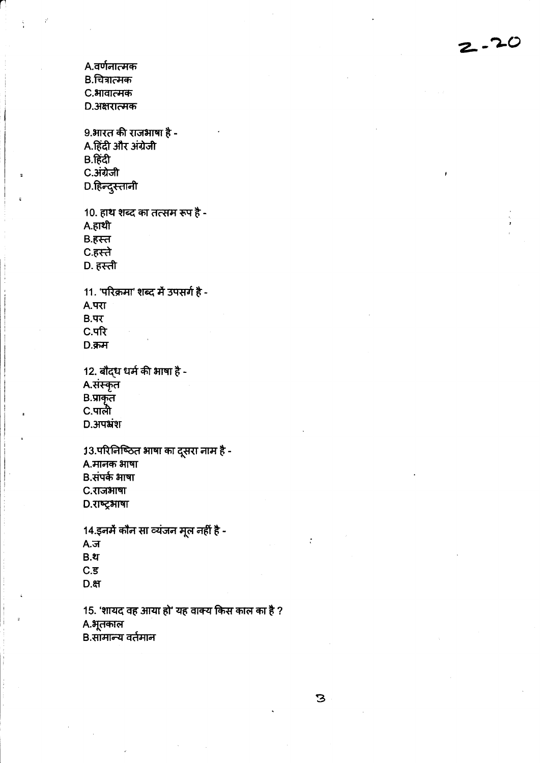A.वर्णनात्मक B.चित्रात्मक C.भावात्मक D.अक्षरात्मक 9.भारत की राजभाषा है -A.हिंदी और अंग्रेजी B.हिंदी C.अंग्रेजी D.हिन्दुस्तानी 10. हाथ शब्द का तत्सम रूप है -A.हाथी B.हस्त C.हस्ते D. हस्ती 11. 'परिक्रमा' शब्द में उपसर्ग है - $A.$ परा  $B.47$ C.परि  $D.$ क्रम 12. बौद्ध धर्म की भाषा है -A.संस्कृत B.प्राकृत<br>C.पाली **D.** अपभ्रंश 13.परिलिष्ठित भाषा का दूसरा नाम है -A.मानक भाषा B.संपर्क भाषा C.राजभाषा D.राष्ट्रभाषा 14.इनमें कौन सा व्यंजन मूल नहीं है - $A.\overline{J}$  $B.2f$  $C.\overline{5}$  $D.$ មា 15. 'शायद वह आया हो' यह वाक्य किस काल का है ? A.भूतकाल B.सामान्य वर्तमान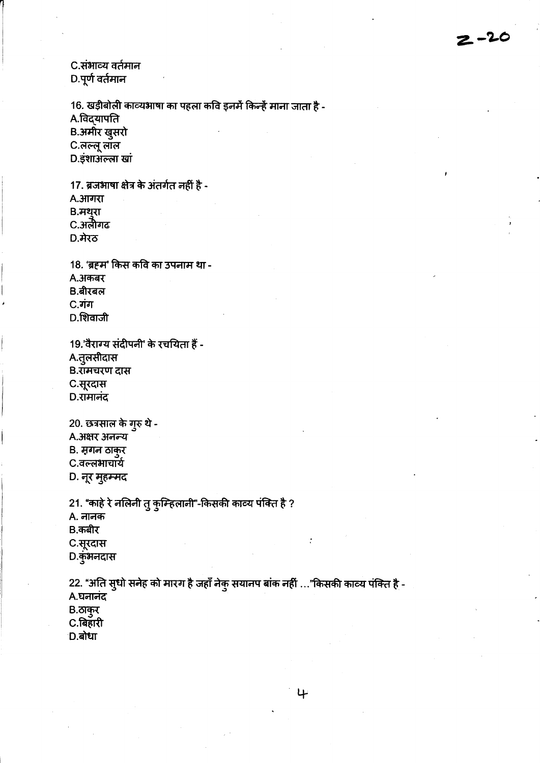C.संभाव्य वर्तमान D.पूर्ण वर्तमान

16. खड़ीबोली काव्यभाषा का पहला कवि इनमें किन्हें माना जाता है -A.विद्यापति B.अमीर खुसरो C.लल्लू लॉल D.इंशाअल्ला खां

17. ब्रजभाषा क्षेत्र के अंतर्गत नहीं है -A.*आगरा* B.मथुरा C.अलैगढ  $D.\overline{A}$ रठ

18. 'ब्रहम' किस कवि का उपनाम था -A.अकबर B.बीरबल C.गंग D.शिवाजी

19.'वैराग्य संदीपनी' के रचयिता हैं -A.तुलसीदास B.रामचरण दास C.सूरदास D.रामानंद

20. छत्रसाल के गुरु थे -A. अक्षर अनन्य B. मगन ठाकुर C.वल्लभाचार्य D. नूर मुहम्मद

21. "काहे रे नलिनी तु कुम्हिलानी"-किसकी काव्य पंक्ति है ? A. नानक B.कबीर C.सूरदास D.कुंभनदास

22. "अति सुधो सनेह को मारग है जहाँ नेकु सयानप बांक नहीं …"किसकी काव्य पंक्ति है -A.घनानंद  $B.$ ठाकुर C.बिहारी D.बोधा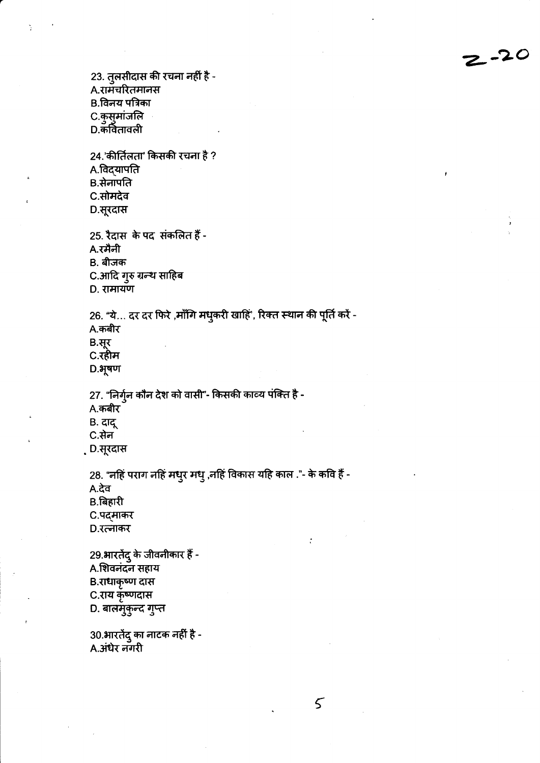23. तुलसीदास की रचना नहीं है -A.रामचरितमानस B.विनय पत्रिका C.कुसुमांजलि D.कवितावली 24.'कीर्तिलता' किसकी रचना है ? A.विद्**यापति** B.सेनापति C.सोमदेव D.सूरदास 25. रैदास के पद संकलित हैं -A.रमैनी B. बीजक C.आदि गुरु ग्रन्थ साहिब D. रामायण 26. "ये... दर दर फिरे ,माँगि मधुकरी खाहिं', रिक्त स्थान की पूर्ति करें -A.कबीर B.सूर C.रहीम  $D.$ भूषण 27. "निर्गुन कौन देश को वासी"- किसकी काव्य पंक्ति है -A.कबीर B. दादू C.सेन . D.सूरदास 28. "नहिं पराग नहिं मधुर मधु ,नहिं विकास यहि काल ."- के कवि हैं -A.देव B.बिहारी C.पद्माकर D.रत्नाकर 29.भारतेंदु के जीवनीकार हैं -A.शिवनंदन सहाय B.राधाकृष्ण दास C.राय कृष्णदास D. बालमुकुन्द गुप्त

30.भारतेंदु का नाटक नहीं है -A.अंधेर नगरी

 $\overline{5}$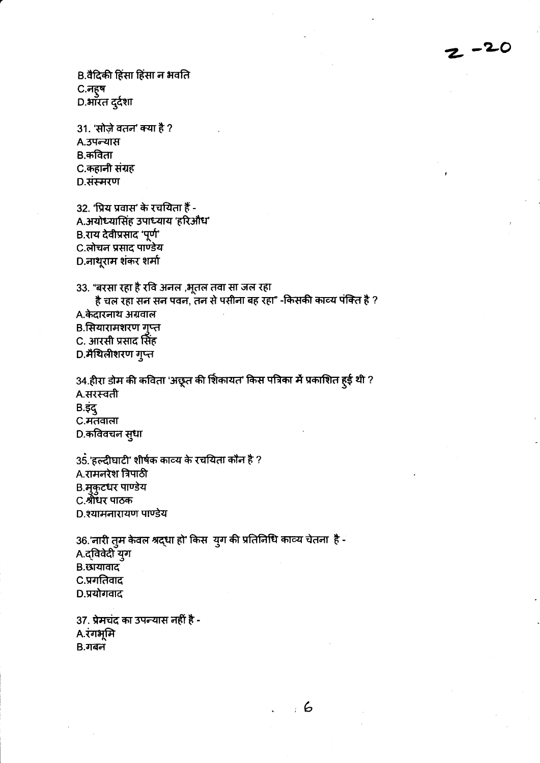B.वैदिकी हिंसा हिंसा न भवति C.नहुष D.भारत दुर्दशा

31. 'सोज़े वतन' क्या है ? A.उपन्यास B.कविता C.कहानी संग्रह D.संस्मरण

32. 'प्रिय प्रवास' के रचयिता हैं -A.अयोध्यासिंह उपाध्याय 'हरिऔध' B.राय देवीप्रसाद 'पूर्ण' C.लोचन प्रसाद पाण्डेय D.नाथूराम शंकर शर्मा

33. "बरसा रहा है रवि अनल ,भूतल तवा सा जल रहा है चल रहा सन सन पवन, तन से पसीना बह रहा" -किसकी काव्य पंक्ति है ? A.केदारनाथ अग्रवाल

B.सियारामशरण गुप्त C. आरसी प्रसाद सिंह

D.मैथिलीशरण गुप्त

34.हीरा डोम की कविता 'अछूत की शिकायत' किस पत्रिका में प्रकाशित हुई थी ? A.सरस्वती  $B.\bar{S}S$ C.मतवाला D.कविवचन सुधा

35.'हल्दीघाटी' शीर्षक काव्य के रचयिता कौन है ? A.रामनरेश त्रिपाठी B. मुकुटधर पाण्डेय C.श्रीधर पाठक D.श्यामनारायण पाण्डेय

36.'नारी तुम केवल श्रद्धा हो' किस युग की प्रतिनिधि काव्य चेतना है -A.द्विवेदी युग B.छायावाद C.प्रगतिवाद D.प्रयोगवाद

37. प्रेमचंद का उपल्यास नहीं है -A.रंगभूमि  $B.$ गबन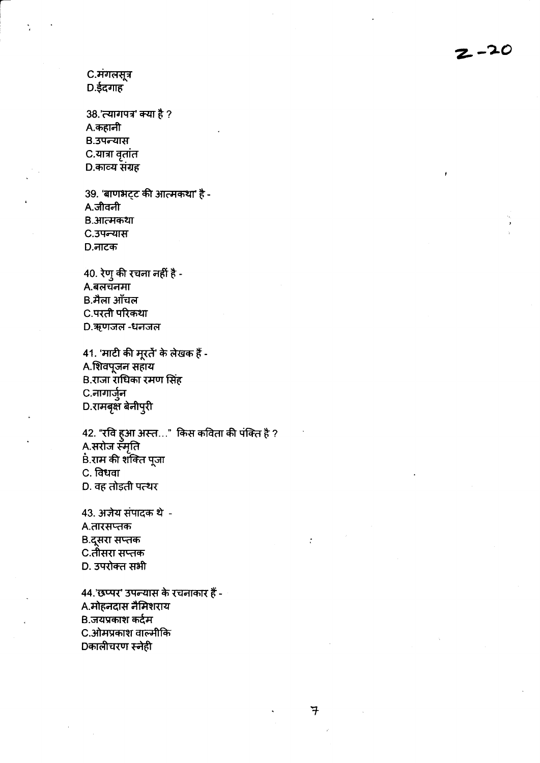$2 - 20$ 

C.मंगलसूत्र D.ईदगाह

38.'त्यागपत्र' क्या है ? A.कहानी B.उपन्यास C.यात्रा वृतांत D.काव्य संग्रह

39. 'बाणभट्ट की आत्मकथा' है -A.जीवनी B.आत्मकथा C.उपन्यास D.नाटक

 $40.$  रेणु की रचना नहीं है -A.बलचनमा B.मैला ऑचल C.परती परिकथा D.ऋणजल-धनजल

41. 'माटी की मूरतें' के लेखक हैं -A.शिवपूजन सहाय B.राजा राधिका रमण सिंह C.नागार्जुन D.रामबृक्षे बेनीपुरी

42. "रवि हुआ अस्त…" किस कविता की पंक्ति है ? A.सरोज स्मृति .<br>B.राम की शक्ति पूजा C. विधवा D. वह तोड़ती पत्थर

43. अज़ेय संपादक थे -A.तारसप्तक B.दूसरा सप्तक C.तीसरा सप्<del>त</del>क D. उपरोक्त सभी

44.'छप्पर' उपन्यास के रचनाकार हैं -A.मोहनदास नैमिशराय B.जयप्रकाश कर्दम C.ओमप्रकाश वाल्मीकि Dकालीचरण स्नेही

 $\overline{\tau}$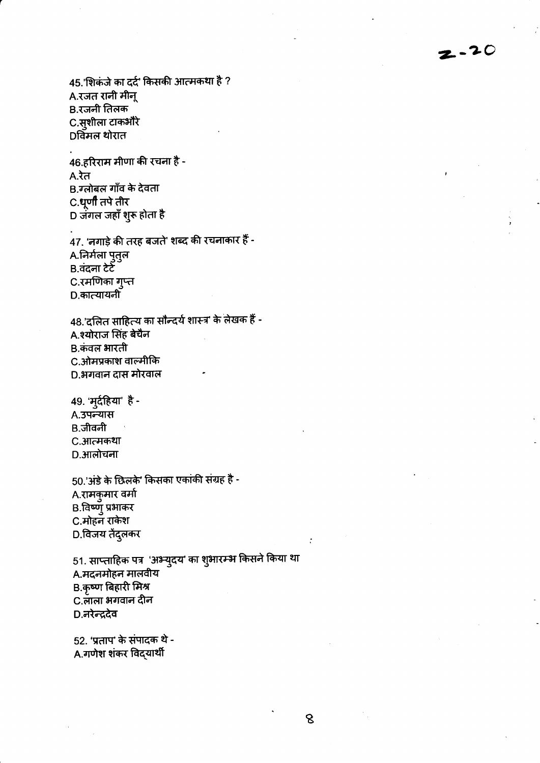45.'शिकंजे का दर्द' किसकी आत्मकथा है ? A.रजत रानी मीन् B.रजनी तिलक C.सुशीला टाक<mark>औ</mark>रे Dविमल थोरात

46.हरिराम मीणा की रचना है - $A.\overline{3}$ त B.ग्लोबल गाँव के देवता C.धूर्णी तपे तीर D जंगल जहाँ शुरू होता है

47. 'नगाड़े की तरह बजते' शब्द की रचनाकार हैं -A.निर्मला पुतुल B.वंदना टेटें C.रमणिका गुप्त D.कात्यायनी

48.'दलित साहित्य का सौन्दर्य शास्त्र' के लेखक हैं -A.श्योराज सिंह बेचैन B.कंवल भारती C.ओमप्रकाश वाल्मीकि D.भगवान दास मोरवाल

49. 'मुर्दहिया' है -A.उपन्यास B.जीवनी C.आत्मकथा D.आलोचना

50.'अंडे के छिलके' किसका एकांकी संग्रह है -A.रामकुमार वर्मा B.विष्णुं प्रभाकर C.मोहन राकेश D.विजय तेंदुलकर

51. साप्ताहिक पत्र 'अभ्युदय' का शुभारम्भ किसने किया था A.मदनमोहन मालवीय B.कृष्ण बिहारी मिश्र C.लाला भगवान दीन D.नरेन्द्रदेव

52. 'प्रताप' के संपादक थे -A.गणेश शंकर विद्**यार्थी** 

8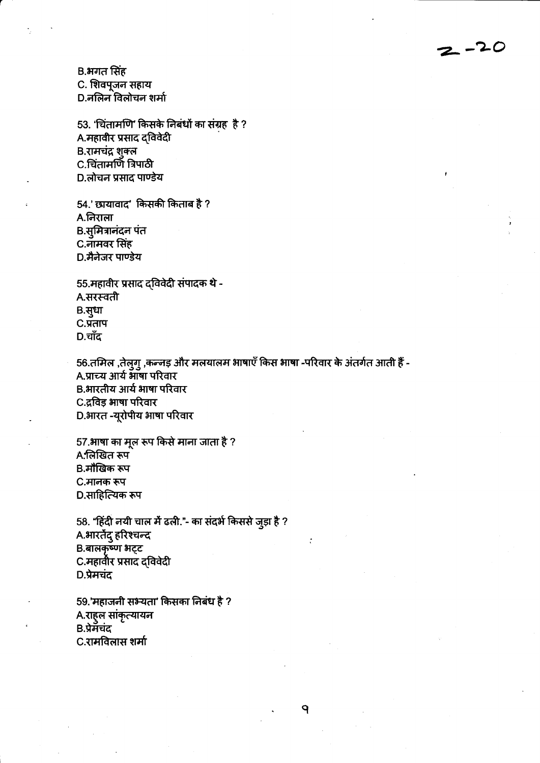B.भगत सिंह C. शिवपूजन सहाय D.नलिन विलोचन शर्मा

53. 'चिंतामणि' किसके निबंधों का संग्रह है? A.महावीर प्रसाद द्विवेदी B.रामचंद्र शुक्ल C.चिंतामणि त्रिपाठी D.लोचन प्रसाद पाण्डेय

54.' छायावाद' किसकी किताब है ? A.निराला B.सुमित्रानंदन पंत C.नामवर सिंह D.मैनेजर पाण्डेय

55.महावीर प्रसाद दविवेदी संपादक थे -A.सरस्वती B.सुधा  $C.\overline{9}$ ताप  $D.$ चाँद

56.तमिल ,तेलुगु ,कन्नड़ और मलयालम भाषाएँ किस भाषा -परिवार के अंतर्गत आती हैं -A.प्राच्य आर्य भाषा परिवार B.भारतीय आर्य भाषा परिवार C.द्रविड़ भाषा परिवार D.भारत -यूरोपीय भाषा परिवार

57.भाषा का मूल रूप किसे माना जाता है ? A.लिखित रूप B.मौखिक रूप C.मानक रूप D.साहित्यिक रूप

58. "हिंदी नयी चाल में ढली."- का संदर्भ किससे जुड़ा है ? A.भारतेंदु हरिश्चन्द B.बालकृष्ण भट्ट C.महावीर प्रसाद द्विवेदी D.प्रेमचंद

59.'महाजनी सभ्यता' किसका निबंध है ? A.राह्ल सांकृत्यायन B.प्रेमॅचंद C.रामविलास शर्मा

٩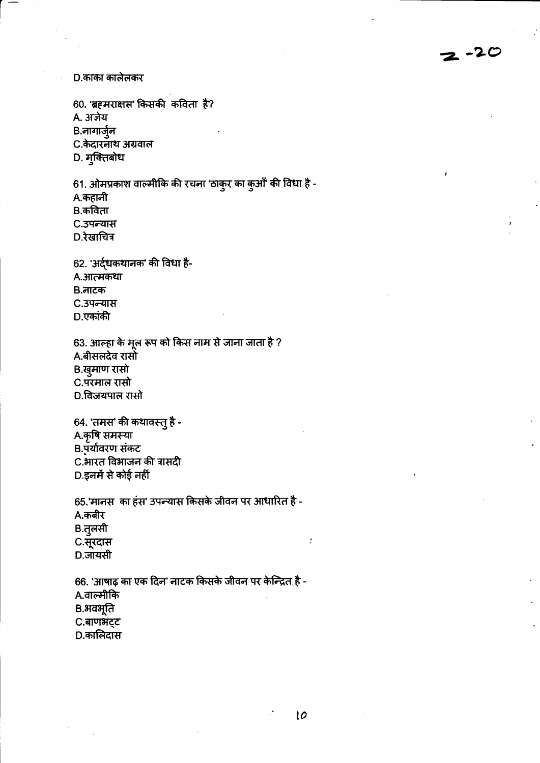D.काका कालेलकर

60. 'ब्रहमराक्षस' किसकी कविता है? A. अजेय B.नागार्जुन C.केदारनाथ अग्रवाल D. मुक्तिबोध

61. ओमप्रकाश वाल्मीकि की रचना 'ठाकुर का कुआँ' की विधा है -A.कहानी B.कविता C.उपन्यास D.रेखाचित्र

62. 'अर्द्धकथानक' की विधा है-A.आत्मकथा B.नाटक C.उपन्यास D.एकांकी

63. आल्हा के मूल रूप को किस नाम से जाना जाता है ? A.बीसलदेव रासो B.खुमाण रासो C.परमाल रासो D.विजयपाल रासो

64. 'तमस' की कथावस्तु है -A.कृषि समस्या B.पूर्यावरण संकट C.भारत विभाजन की त्रासदी D.इनमें से कोई नहीं

65.'मानस का हंस' उपन्यास किसके जीवन पर आधारित है -A.कबीर B.तुलसी C.सूरदास D.जायसी

66. 'आषाढ़ का एक दिन' नाटक किसके जीवन पर केन्द्रित है -A.वाल्मीकि B.अवभूति C.बाणभट्ट D.कालिदास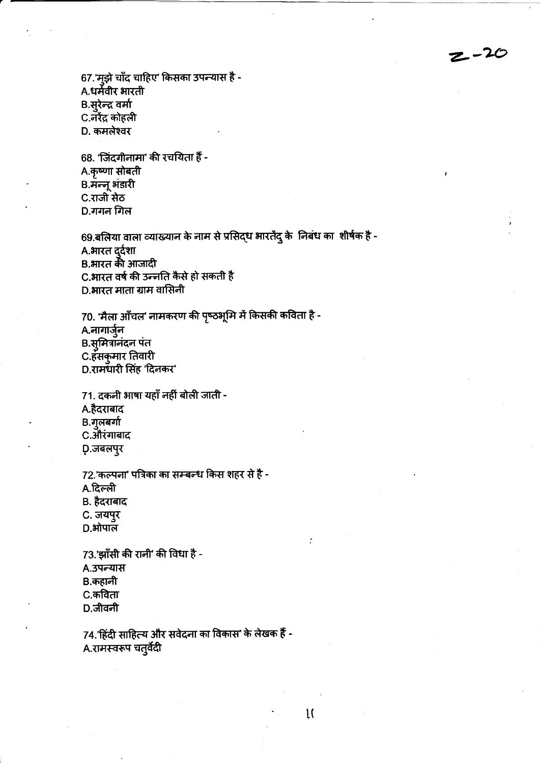$z - 20$ 

67.'मुझे चाँद चाहिए' किसका उपन्यास है -A.धर्मवीर भारती B.सुरेन्द्र वर्मा C.नरेंद्र कोहली D. कमलेश्वर

68. 'जिंदगीनामा' की रचयिता हैं -A.कृष्णा सोबती B.मॅन्नू भंडारी C.राजी सेठ D.गगन गिल

69.बलिया वाला व्याख्यान के नाम से प्रसिद्ध भारतेंदु के निबंध का शीर्षक है -A.भारत दुर्दशा B.भारत की आजादी C.भारत वर्ष की उन्नति कैसे हो सकती है D.भारत माता ग्राम वासिनी

70. 'मैला आँचल' नामकरण की पृष्ठभूमि में किसकी कविता है -A.नागार्जुन B.सुमित्रानंदन पंत C.हंसकुमार तिवारी D.रामधारी सिंह 'दिनकर'

71. दकनी भाषा यहाँ नहीं बोली जाती -A.हैदराबाद B.गुलबर्गा C.औरंगाबाद D.जबलपुर

72.'कल्पना' पत्रिका का सम्बन्ध किस शहर से है -A.दिल्ली B. हैदराबाद C. जयपुर  $D.H\overline{I}$ पाल

73.'झाँसी की रानी' की विधा है -A.उपन्यास B.कहानी C.कविता D.जीवनी

74.'हिंदी साहित्य और सवेदना का विकास' के लेखक हैं -A.रामस्वरूप चतुर्वेदी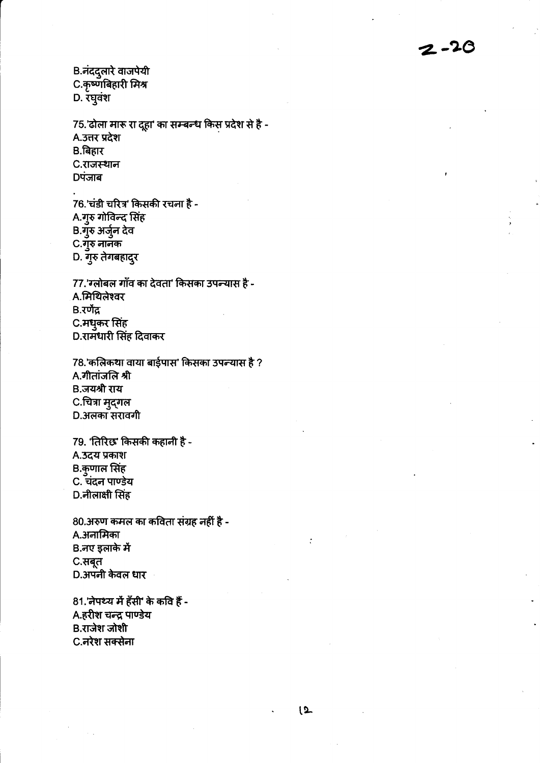B.नंददुलारे वाजपेयी C.कृष्णबिहारी मिश्र D. रघुवंश

75.'ढोला मारू रा दूहा' का सम्बन्ध किस प्रदेश से है -A.उत्तर प्रदेश ...<br>B.बिहार C.राजस्थान **Dपंजाब** 

76.'चंडी चरित्र' किसकी रचला है -.<br>A.गुरु गोविन्द सिंह B.गुरु अर्जुन देव C.गुरु नानक D. गुरु तेगबहादुर

77.'ग्लोबल गाँव का देवता' किसका उपन्यास है -A.मिथिलेश्वर B.रणेंद्र C.मधुकर सिंह D.रामधारी सिंह दिवाकर

78.'कलिकथा वाया बाईपास' किसका उपन्यास है ? A.गीतांजलि श्री B.जयश्री राय C.चित्रा मुद्गल D.अलका सरावगी

79. 'तिरिछ' किसकी कहानी है -A.उदय प्रकाश B.कुणाल सिंह C. चंदन पाण्डेय D.नीलाक्षी सिंह

80.अरुण कमल का कविता संग्रह नहीं है -A.अनामिका B.नए इलाके में C.सबूत D.अपनी केवल धार

81.'नेपथ्य में हँसी' के कवि हैं -A.हरीश चन्द्र पाण्डेय B.राजेश जोशी C.नरेश सक्सेना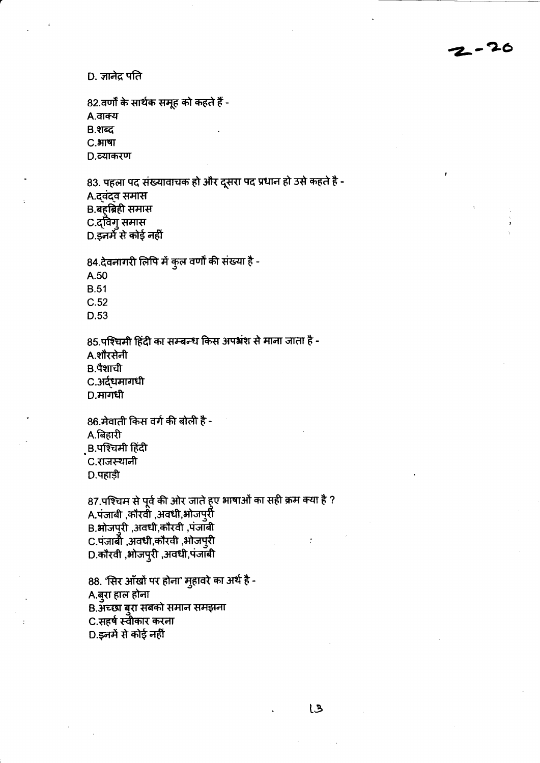D. ज्ञानेद्र पति

82.वर्णों के सार्थक समूह को कहते हैं -A.वाक्य B.शब्द С. ЭПЧТ D.व्याकरण

83. पहला पद संख्यावाचक हो और दूसरा पद प्रधान हो उसे कहते है -A.दवंदव समास B.बहुब्रिही समास C.दविग् समास D.इनमें से कोई नहीं

84.देवनागरी लिपि में कुल वर्णों की संख्या है -

A.50

**B.51** 

 $C.52$ 

D.53

85.पश्चिमी हिंदी का सम्बन्ध किस अपभ्रंश से माना जाता है -A.शौरसेनी B.पैशाची C.अर्दधमागधी D.मागधी

86.मेवाती किस वर्ग की बोली है -A.बिहारी B.पश्चिमी हिंदी C.राजस्थानी D.पहाड़ी

87.पश्चिम से पूर्व की ओर जाते हुए भाषाओं का सही क्रम क्या है ? A.पंजाबी ,कौरवी ,अवधी,भोजपुरी B.ओजपुरी, अवधी,कौरवी, पंजाबी C.पंजाबी ,अवधी,कौरवी ,भोजप्**री** D.कौरवी ,भोजपुरी ,अवधी,पंजाबी

88. 'सिर आँखों पर होना' मुहावरे का अर्थ है -A.बुरा हाल होना B.अंच्छा बुरा सबको समान समझना C.सहर्ष स्वीकार करना D.इनमें से कोई नहीं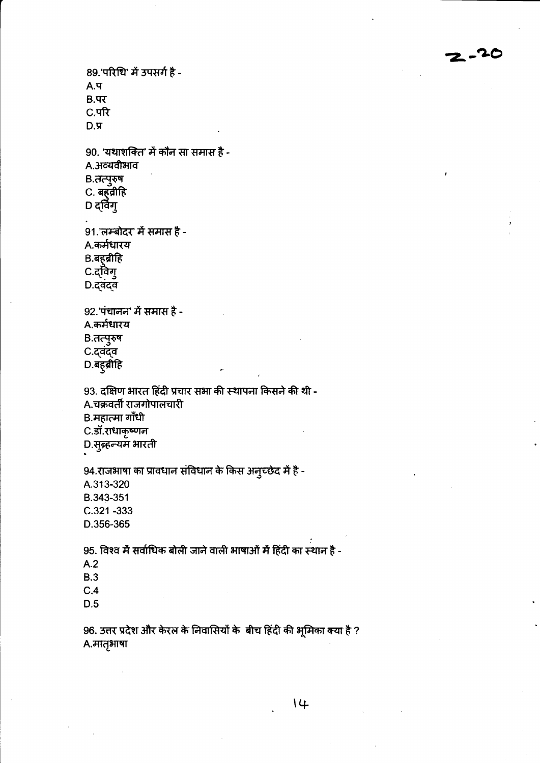$2 - 20$ 

89.'परिधि' में उपसर्ग है - $A.4$  $B.47$ C.परि  $D.\n$ 90. 'यथाशक्ति' में कौन सा समास है -A.अव्यवीभाव B.तत्पुरुष C. बहवीहि D द्विंगु 91.'लम्बोदर' में समास है -A.कर्मधारय B.बह़ब्रीहि C.दविग् D.दवंदव 92.'पंचानन' में समास है -A.कर्मधारय B.तत्पुरुष C.दवंदव D.बहुब्रीहि 93. दक्षिण भारत हिंदी प्रचार सभा की स्थापना किसने की थी -A.चक्रवर्ती राजगोपालचारी B.महात्मा गाँधी C.डॉ.राधाकृष्णन D.सुब्रहन्यम भारती 94.राजभाषा का प्रावधान संविधान के किस अन्च्छेद में है -A.313-320 B.343-351  $C.321 - 333$ D.356-365 95. विश्व में सर्वाधिक बोली जाने वाली भाषाओं में हिंदी का स्थान है - $A.2$ **B.3**  $C.4$  $D.5$ 

96. उत्तर प्रदेश और केरल के निवासियों के बीच हिंदी की भूमिका क्या है ? A.मातृभाषा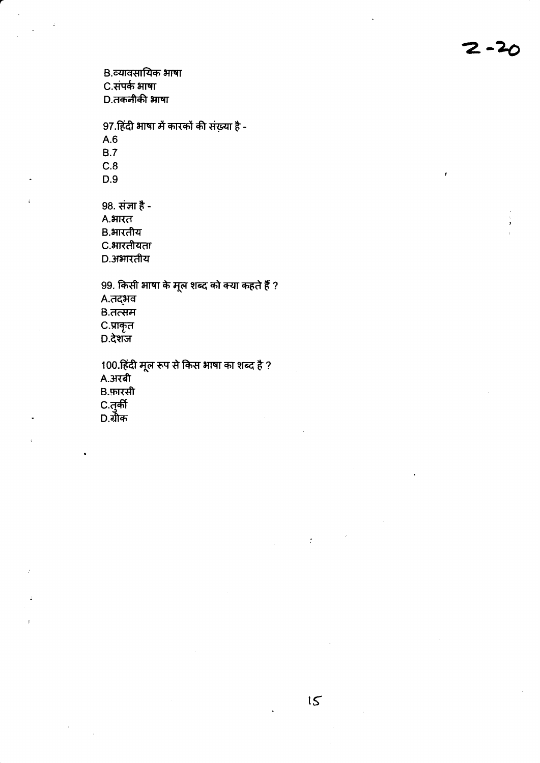B.व्यावसायिक भाषा C.संपर्क भाषा D.तकनीकी भाषा

97.हिंदी भाषा में कारकों की संख़्या है - $A.6$  $B.7$  $C.8$  $D.9$ 

98. संज्ञा है -A.भारत B.भारतीय C.भारतीयता D.अभारतीय

99. किसी भाषा के मूल शब्द को क्या कहते हैं ? A.तद्भव B.तत्सम C.प्राकृत  $D.\overline{d}$ शंज

100.हिंदी मूल रूप से किस भाषा का शब्द है ?<br>A.अरबी B.फ़ारसी C.तुर्की<br>D.ग्रीक

 $\cdot$